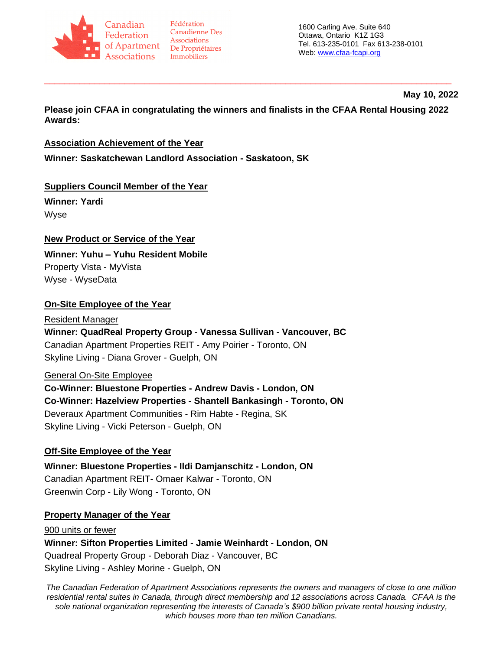

Fédération **Canadienne Des** Associations

1600 Carling Ave. Suite 640 Ottawa, Ontario K1Z 1G3 Tel. 613-235-0101 Fax 613-238-0101 Web: [www.cfaa-fcapi.org](http://www.cfaa-fcapi.org/)

#### **May 10, 2022**

**Please join CFAA in congratulating the winners and finalists in the CFAA Rental Housing 2022 Awards:**

\_\_\_\_\_\_\_\_\_\_\_\_\_\_\_\_\_\_\_\_\_\_\_\_\_\_\_\_\_\_\_\_\_\_\_\_\_\_\_\_\_\_\_\_\_\_\_\_\_\_\_\_\_\_\_\_\_\_\_\_\_\_\_\_\_\_\_\_\_\_\_\_\_\_\_\_\_\_\_\_\_

### **Association Achievement of the Year**

**Winner: Saskatchewan Landlord Association - Saskatoon, SK**

# **Suppliers Council Member of the Year**

**Winner: Yardi**  Wyse

# **New Product or Service of the Year**

**Winner: Yuhu – Yuhu Resident Mobile**  Property Vista - MyVista

Wyse - WyseData

### **On-Site Employee of the Year**

# Resident Manager **Winner: QuadReal Property Group - Vanessa Sullivan - Vancouver, BC** Canadian Apartment Properties REIT - Amy Poirier - Toronto, ON Skyline Living - Diana Grover - Guelph, ON

# General On-Site Employee

**Co-Winner: Bluestone Properties - Andrew Davis - London, ON Co-Winner: Hazelview Properties - Shantell Bankasingh - Toronto, ON** Deveraux Apartment Communities - Rim Habte - Regina, SK Skyline Living - Vicki Peterson - Guelph, ON

# **Off-Site Employee of the Year**

**Winner: Bluestone Properties - Ildi Damjanschitz - London, ON** Canadian Apartment REIT- Omaer Kalwar - Toronto, ON Greenwin Corp - Lily Wong - Toronto, ON

### **Property Manager of the Year**

900 units or fewer **Winner: Sifton Properties Limited - Jamie Weinhardt - London, ON** Quadreal Property Group - Deborah Diaz - Vancouver, BC Skyline Living - Ashley Morine - Guelph, ON

*The Canadian Federation of Apartment Associations represents the owners and managers of close to one million residential rental suites in Canada, through direct membership and 12 associations across Canada. CFAA is the sole national organization representing the interests of Canada's \$900 billion private rental housing industry, which houses more than ten million Canadians.*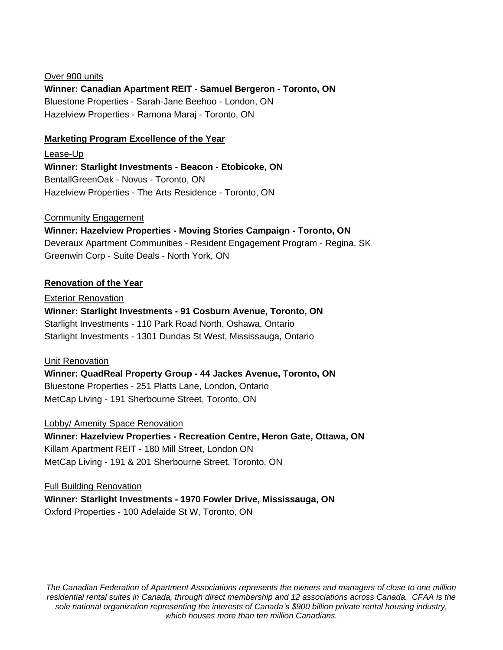Over 900 units **Winner: Canadian Apartment REIT - Samuel Bergeron - Toronto, ON** Bluestone Properties - Sarah-Jane Beehoo - London, ON Hazelview Properties - Ramona Maraj - Toronto, ON

### **Marketing Program Excellence of the Year**

Lease-Up **Winner: Starlight Investments - Beacon - Etobicoke, ON** BentallGreenOak - Novus - Toronto, ON Hazelview Properties - The Arts Residence - Toronto, ON

#### Community Engagement

**Winner: Hazelview Properties - Moving Stories Campaign - Toronto, ON** Deveraux Apartment Communities - Resident Engagement Program - Regina, SK Greenwin Corp - Suite Deals - North York, ON

#### **Renovation of the Year**

Exterior Renovation **Winner: Starlight Investments - 91 Cosburn Avenue, Toronto, ON** Starlight Investments - 110 Park Road North, Oshawa, Ontario Starlight Investments - 1301 Dundas St West, Mississauga, Ontario

#### Unit Renovation

**Winner: QuadReal Property Group - 44 Jackes Avenue, Toronto, ON** Bluestone Properties - 251 Platts Lane, London, Ontario MetCap Living - 191 Sherbourne Street, Toronto, ON

Lobby/ Amenity Space Renovation

**Winner: Hazelview Properties - Recreation Centre, Heron Gate, Ottawa, ON** Killam Apartment REIT - 180 Mill Street, London ON MetCap Living - 191 & 201 Sherbourne Street, Toronto, ON

Full Building Renovation **Winner: Starlight Investments - 1970 Fowler Drive, Mississauga, ON** Oxford Properties - 100 Adelaide St W, Toronto, ON

*The Canadian Federation of Apartment Associations represents the owners and managers of close to one million residential rental suites in Canada, through direct membership and 12 associations across Canada. CFAA is the sole national organization representing the interests of Canada's \$900 billion private rental housing industry, which houses more than ten million Canadians.*